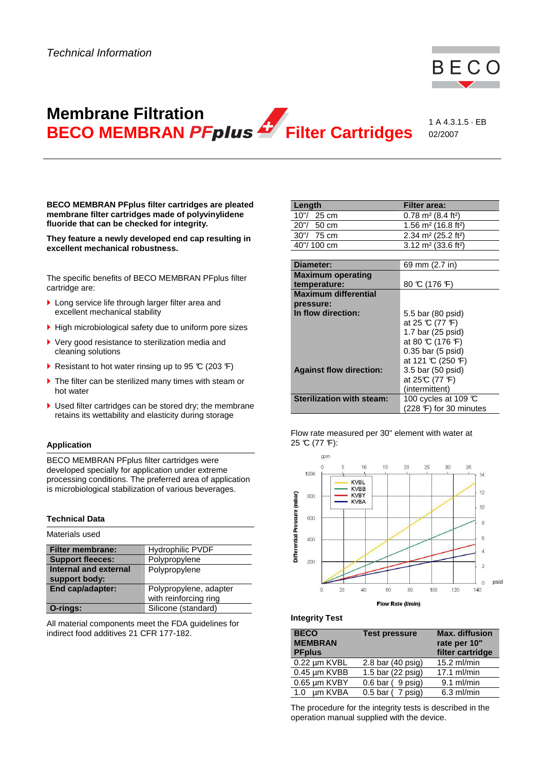

# **Membrane Filtration BECO MEMBRAN PFplus** Filter Cartridges

1 A 4.3.1.5 · EB 02/2007

**BECO MEMBRAN PFplus filter cartridges are pleated membrane filter cartridges made of polyvinylidene fluoride that can be checked for integrity.** 

**They feature a newly developed end cap resulting in excellent mechanical robustness.**

The specific benefits of BECO MEMBRAN PFplus filter cartridge are:

- ▶ Long service life through larger filter area and excellent mechanical stability
- $\blacktriangleright$  High microbiological safety due to uniform pore sizes
- ▶ Very good resistance to sterilization media and cleaning solutions
- Resistant to hot water rinsing up to 95  $\mathbb{C}$  (203  $\mathbb{F}$ )
- ▶ The filter can be sterilized many times with steam or hot water
- ▶ Used filter cartridges can be stored dry; the membrane retains its wettability and elasticity during storage

# **Application**

BECO MEMBRAN PFplus filter cartridges were developed specially for application under extreme processing conditions. The preferred area of application is microbiological stabilization of various beverages.

# **Technical Data**

| Materials used          |                        |
|-------------------------|------------------------|
| <b>Filter membrane:</b> | Hydrophilic PVDF       |
| <b>Support fleeces:</b> | Polypropylene          |
| Internal and external   | Polypropylene          |
| support body:           |                        |
| End cap/adapter:        | Polypropylene, adapter |
|                         | with reinforcing ring  |
| O-rings:                | Silicone (standard)    |

All material components meet the FDA guidelines for indirect food additives 21 CFR 177-182.

| .                                |                                             |
|----------------------------------|---------------------------------------------|
| 20"/ 50 cm                       | 1.56 m <sup>2</sup> (16.8 ft <sup>2</sup> ) |
| 30"/ 75 cm                       | 2.34 m <sup>2</sup> (25.2 ft <sup>2</sup> ) |
| 40"/100 cm                       | 3.12 $m2$ (33.6 ft <sup>2</sup> )           |
|                                  |                                             |
| Diameter:                        | 69 mm (2.7 in)                              |
| <b>Maximum operating</b>         |                                             |
| temperature:                     | 80 °C (176 °F)                              |
| <b>Maximum differential</b>      |                                             |
| pressure:                        |                                             |
| In flow direction:               | 5.5 bar (80 psid)                           |
|                                  | at 25 °C (77 °F)                            |
|                                  | 1.7 bar (25 psid)                           |
|                                  | at 80 °C (176 °F)                           |
|                                  | $0.35$ bar (5 psid)                         |
|                                  | at 121 °C (250 °F)                          |
| <b>Against flow direction:</b>   | 3.5 bar (50 psid)                           |
|                                  | at 25°C (77 °F)                             |
|                                  | (intermittent)                              |
| <b>Sterilization with steam:</b> | 100 cycles at 109 $\mathbb C$               |
|                                  | (228 F) for 30 minutes                      |

**Length Filter** area:  $10''/25$  cm 0.78 m<sup>2</sup> (8.4 ft<sup>2</sup>)

#### Flow rate measured per 30" element with water at  $25 \text{ C}$  (77 °F):



#### **Integrity Test**

| <b>BECO</b><br><b>MEMBRAN</b><br><b>PFplus</b> | <b>Test pressure</b>        | <b>Max. diffusion</b><br>rate per 10"<br>filter cartridge |
|------------------------------------------------|-----------------------------|-----------------------------------------------------------|
| 0.22 µm KVBL                                   | 2.8 bar $(40 \text{ psig})$ | 15.2 ml/min                                               |
| 0.45 um KVBB                                   | 1.5 bar (22 psig)           | $17.1$ ml/min                                             |
| 0.65 µm KVBY                                   | $0.6$ bar ( $9$ psig)       | $9.1$ ml/min                                              |
| um KVBA<br>1.0                                 | $0.5$ bar ( $7$ psig)       | $6.3$ ml/min                                              |

The procedure for the integrity tests is described in the operation manual supplied with the device.